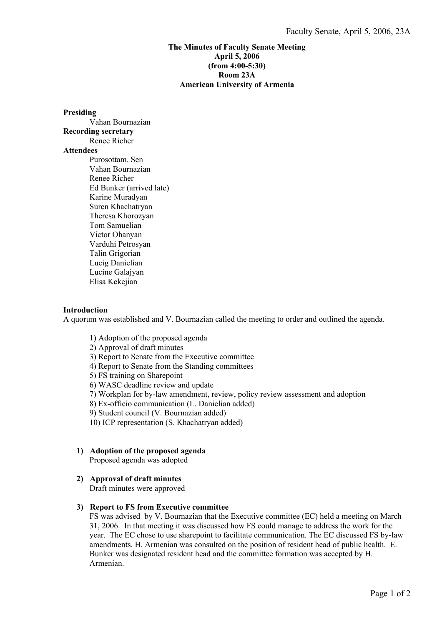# **The Minutes of Faculty Senate Meeting April 5, 2006 (from 4:00-5:30) Room 23A American University of Armenia**

#### **Presiding**

 Vahan Bournazian **Recording secretary**  Renee Richer **Attendees**  Purosottam. Sen Vahan Bournazian Renee Richer Ed Bunker (arrived late) Karine Muradyan Suren Khachatryan Theresa Khorozyan Tom Samuelian Victor Ohanyan Varduhi Petrosyan Talin Grigorian Lucig Danielian Lucine Galajyan Elisa Kekejian

# **Introduction**

A quorum was established and V. Bournazian called the meeting to order and outlined the agenda.

- 1) Adoption of the proposed agenda
- 2) Approval of draft minutes
- 3) Report to Senate from the Executive committee
- 4) Report to Senate from the Standing committees
- 5) FS training on Sharepoint
- 6) WASC deadline review and update
- 7) Workplan for by-law amendment, review, policy review assessment and adoption
- 8) Ex-officio communication (L. Danielian added)
- 9) Student council (V. Bournazian added)
- 10) ICP representation (S. Khachatryan added)

# **1) Adoption of the proposed agenda**

Proposed agenda was adopted

# **2) Approval of draft minutes**

Draft minutes were approved

# **3) Report to FS from Executive committee**

FS was advised by V. Bournazian that the Executive committee (EC) held a meeting on March 31, 2006. In that meeting it was discussed how FS could manage to address the work for the year. The EC chose to use sharepoint to facilitate communication. The EC discussed FS by-law amendments. H. Armenian was consulted on the position of resident head of public health. E. Bunker was designated resident head and the committee formation was accepted by H. Armenian.